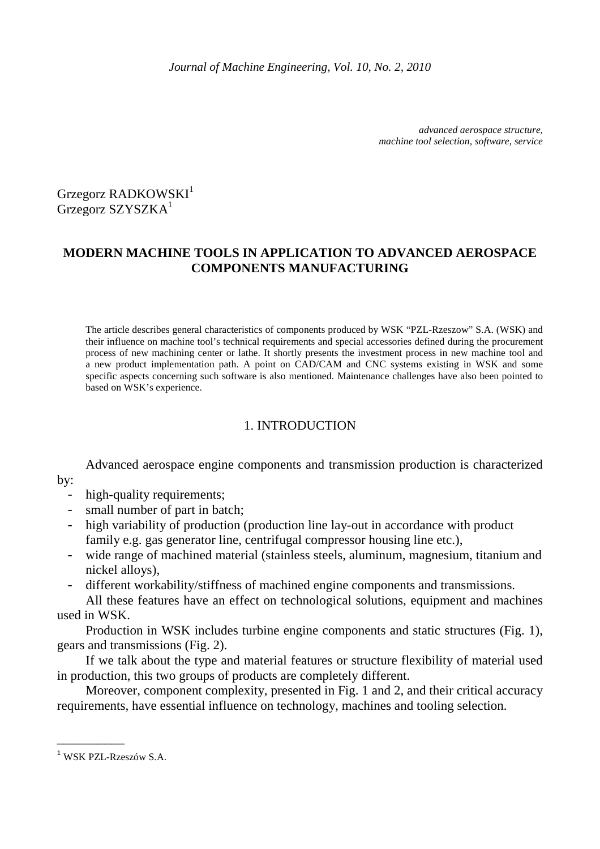*advanced aerospace structure, machine tool selection, software, service* 

Grzegorz RADKOWSKI<sup>1</sup> Grzegorz SZYSZKA<sup>1</sup>

# **MODERN MACHINE TOOLS IN APPLICATION TO ADVANCED AEROSPACE COMPONENTS MANUFACTURING**

The article describes general characteristics of components produced by WSK "PZL-Rzeszow" S.A. (WSK) and their influence on machine tool's technical requirements and special accessories defined during the procurement process of new machining center or lathe. It shortly presents the investment process in new machine tool and a new product implementation path. A point on CAD/CAM and CNC systems existing in WSK and some specific aspects concerning such software is also mentioned. Maintenance challenges have also been pointed to based on WSK's experience.

# 1. INTRODUCTION

Advanced aerospace engine components and transmission production is characterized by:

- - high-quality requirements;
	- small number of part in batch;
	- high variability of production (production line lay-out in accordance with product family e.g. gas generator line, centrifugal compressor housing line etc.),
	- wide range of machined material (stainless steels, aluminum, magnesium, titanium and nickel alloys),
	- different workability/stiffness of machined engine components and transmissions.

All these features have an effect on technological solutions, equipment and machines used in WSK.

 Production in WSK includes turbine engine components and static structures (Fig. 1), gears and transmissions (Fig. 2).

If we talk about the type and material features or structure flexibility of material used in production, this two groups of products are completely different.

Moreover, component complexity, presented in Fig. 1 and 2, and their critical accuracy requirements, have essential influence on technology, machines and tooling selection.

\_\_\_\_\_\_\_\_\_\_

<sup>1</sup> WSK PZL-Rzeszów S.A.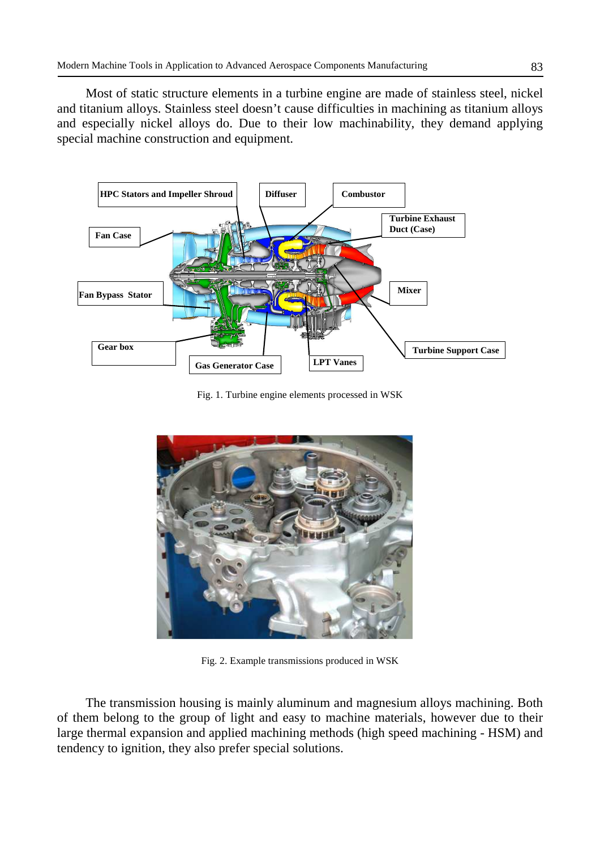Most of static structure elements in a turbine engine are made of stainless steel, nickel and titanium alloys. Stainless steel doesn't cause difficulties in machining as titanium alloys and especially nickel alloys do. Due to their low machinability, they demand applying special machine construction and equipment.



Fig. 1. Turbine engine elements processed in WSK



Fig. 2. Example transmissions produced in WSK

The transmission housing is mainly aluminum and magnesium alloys machining. Both of them belong to the group of light and easy to machine materials, however due to their large thermal expansion and applied machining methods (high speed machining - HSM) and tendency to ignition, they also prefer special solutions.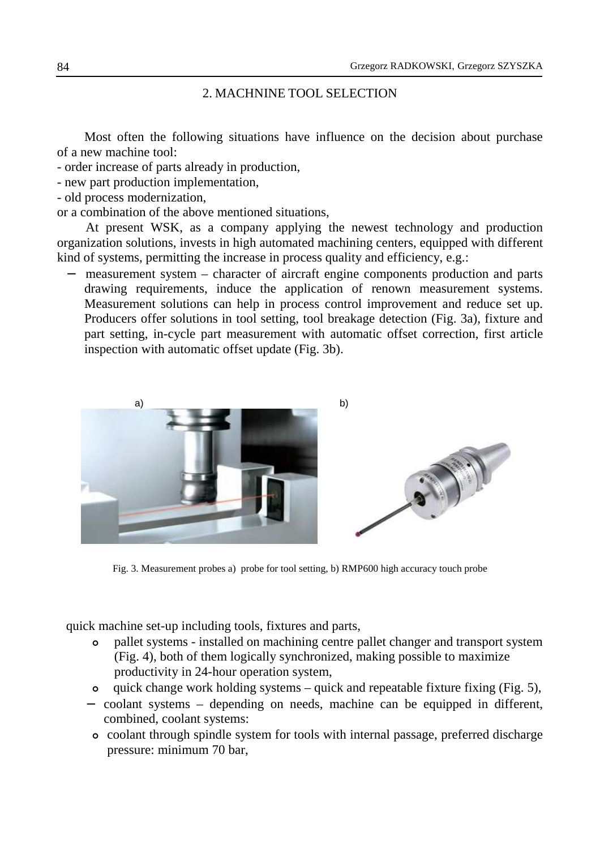### 2. MACHNINE TOOL SELECTION

 Most often the following situations have influence on the decision about purchase of a new machine tool:

- order increase of parts already in production,

- new part production implementation,
- old process modernization,

or a combination of the above mentioned situations,

At present WSK, as a company applying the newest technology and production organization solutions, invests in high automated machining centers, equipped with different kind of systems, permitting the increase in process quality and efficiency, e.g.:

measurement system – character of aircraft engine components production and parts drawing requirements, induce the application of renown measurement systems. Measurement solutions can help in process control improvement and reduce set up. Producers offer solutions in tool setting, tool breakage detection (Fig. 3a), fixture and part setting, in-cycle part measurement with automatic offset correction, first article inspection with automatic offset update (Fig. 3b).



Fig. 3. Measurement probes a) probe for tool setting, b) RMP600 high accuracy touch probe

quick machine set-up including tools, fixtures and parts,

- pallet systems installed on machining centre pallet changer and transport system (Fig. 4), both of them logically synchronized, making possible to maximize productivity in 24-hour operation system,
- quick change work holding systems quick and repeatable fixture fixing (Fig. 5),
- − coolant systems depending on needs, machine can be equipped in different, combined, coolant systems:
	- coolant through spindle system for tools with internal passage, preferred discharge pressure: minimum 70 bar,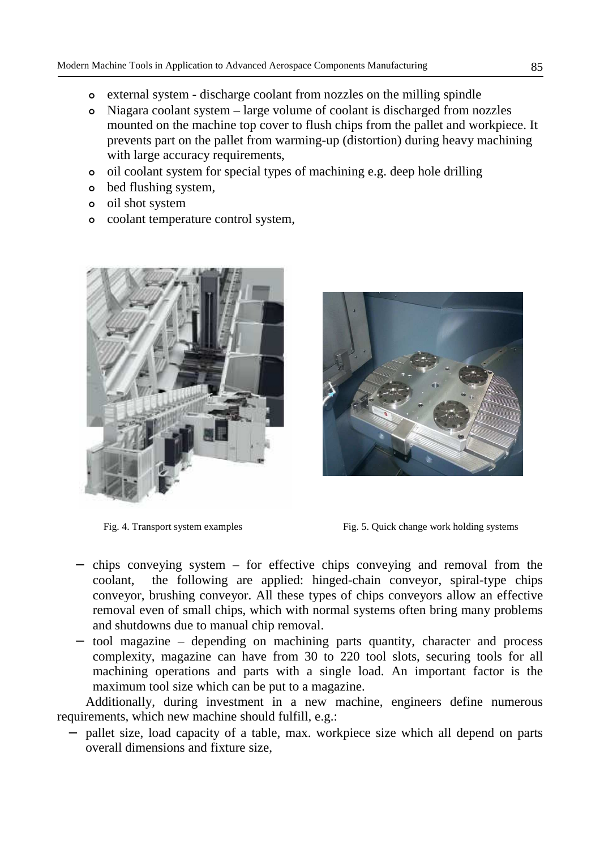- external system discharge coolant from nozzles on the milling spindle
- Niagara coolant system large volume of coolant is discharged from nozzles mounted on the machine top cover to flush chips from the pallet and workpiece. It prevents part on the pallet from warming-up (distortion) during heavy machining with large accuracy requirements,
- oil coolant system for special types of machining e.g. deep hole drilling
- bed flushing system,
- oil shot system
- coolant temperature control system,





Fig. 4. Transport system examples Fig. 5. Quick change work holding systems

- − chips conveying system for effective chips conveying and removal from the coolant, the following are applied: hinged-chain conveyor, spiral-type chips conveyor, brushing conveyor. All these types of chips conveyors allow an effective removal even of small chips, which with normal systems often bring many problems and shutdowns due to manual chip removal.
- − tool magazine depending on machining parts quantity, character and process complexity, magazine can have from 30 to 220 tool slots, securing tools for all machining operations and parts with a single load. An important factor is the maximum tool size which can be put to a magazine.

Additionally, during investment in a new machine, engineers define numerous requirements, which new machine should fulfill, e.g.:

− pallet size, load capacity of a table, max. workpiece size which all depend on parts overall dimensions and fixture size,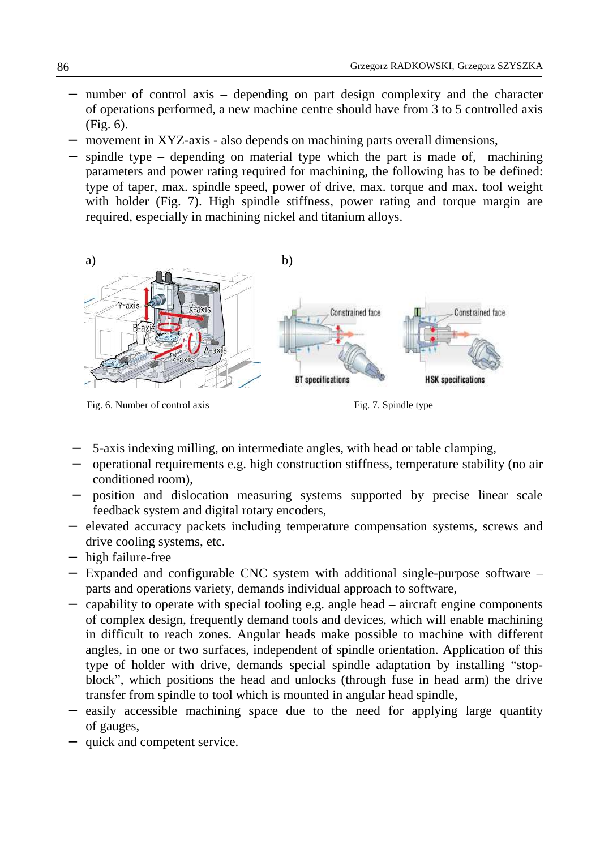- − number of control axis depending on part design complexity and the character of operations performed, a new machine centre should have from 3 to 5 controlled axis (Fig. 6).
- movement in XYZ-axis also depends on machining parts overall dimensions,
- spindle type depending on material type which the part is made of, machining parameters and power rating required for machining, the following has to be defined: type of taper, max. spindle speed, power of drive, max. torque and max. tool weight with holder (Fig. 7). High spindle stiffness, power rating and torque margin are required, especially in machining nickel and titanium alloys.



Fig. 6. Number of control axis Fig. 7. Spindle type

- 5-axis indexing milling, on intermediate angles, with head or table clamping,
- − operational requirements e.g. high construction stiffness, temperature stability (no air conditioned room),
- position and dislocation measuring systems supported by precise linear scale feedback system and digital rotary encoders,
- − elevated accuracy packets including temperature compensation systems, screws and drive cooling systems, etc.
- − high failure-free
- − Expanded and configurable CNC system with additional single-purpose software parts and operations variety, demands individual approach to software,
- − capability to operate with special tooling e.g. angle head aircraft engine components of complex design, frequently demand tools and devices, which will enable machining in difficult to reach zones. Angular heads make possible to machine with different angles, in one or two surfaces, independent of spindle orientation. Application of this type of holder with drive, demands special spindle adaptation by installing "stopblock", which positions the head and unlocks (through fuse in head arm) the drive transfer from spindle to tool which is mounted in angular head spindle,
- easily accessible machining space due to the need for applying large quantity of gauges,
- quick and competent service.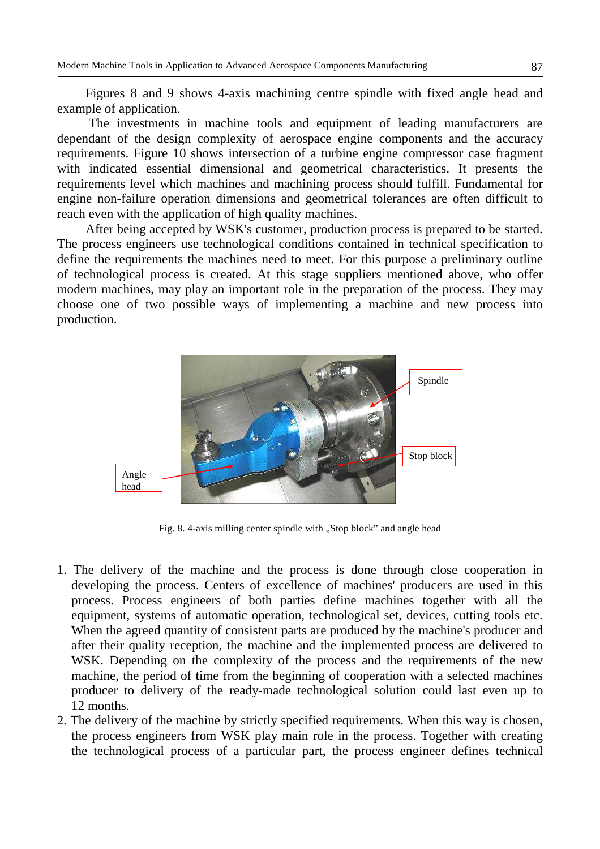Figures 8 and 9 shows 4-axis machining centre spindle with fixed angle head and example of application.

 The investments in machine tools and equipment of leading manufacturers are dependant of the design complexity of aerospace engine components and the accuracy requirements. Figure 10 shows intersection of a turbine engine compressor case fragment with indicated essential dimensional and geometrical characteristics. It presents the requirements level which machines and machining process should fulfill. Fundamental for engine non-failure operation dimensions and geometrical tolerances are often difficult to reach even with the application of high quality machines.

After being accepted by WSK's customer, production process is prepared to be started. The process engineers use technological conditions contained in technical specification to define the requirements the machines need to meet. For this purpose a preliminary outline of technological process is created. At this stage suppliers mentioned above, who offer modern machines, may play an important role in the preparation of the process. They may choose one of two possible ways of implementing a machine and new process into production.



Fig. 8. 4-axis milling center spindle with "Stop block" and angle head

- 1. The delivery of the machine and the process is done through close cooperation in developing the process. Centers of excellence of machines' producers are used in this process. Process engineers of both parties define machines together with all the equipment, systems of automatic operation, technological set, devices, cutting tools etc. When the agreed quantity of consistent parts are produced by the machine's producer and after their quality reception, the machine and the implemented process are delivered to WSK. Depending on the complexity of the process and the requirements of the new machine, the period of time from the beginning of cooperation with a selected machines producer to delivery of the ready-made technological solution could last even up to 12 months.
- 2. The delivery of the machine by strictly specified requirements. When this way is chosen, the process engineers from WSK play main role in the process. Together with creating the technological process of a particular part, the process engineer defines technical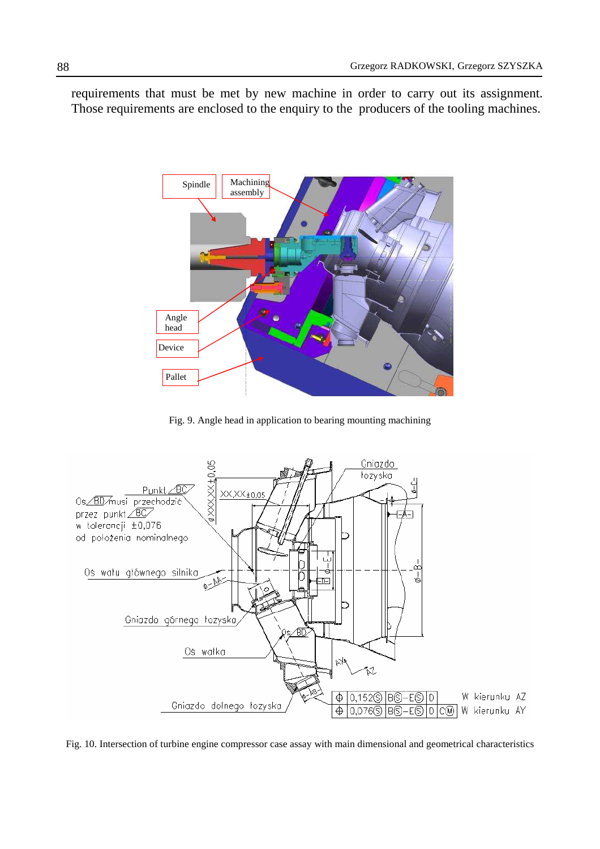requirements that must be met by new machine in order to carry out its assignment. Those requirements are enclosed to the enquiry to the producers of the tooling machines.



Fig. 9. Angle head in application to bearing mounting machining



Fig. 10. Intersection of turbine engine compressor case assay with main dimensional and geometrical characteristics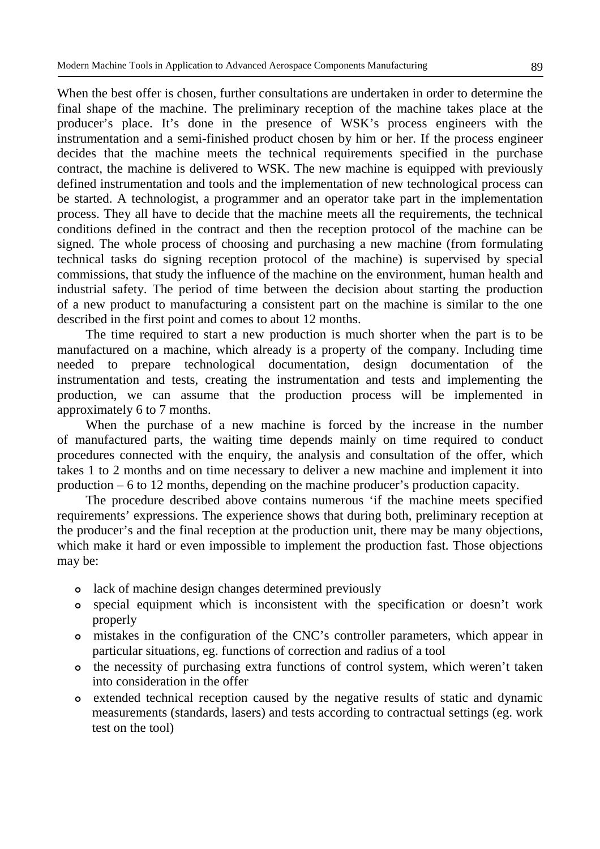When the best offer is chosen, further consultations are undertaken in order to determine the final shape of the machine. The preliminary reception of the machine takes place at the producer's place. It's done in the presence of WSK's process engineers with the instrumentation and a semi-finished product chosen by him or her. If the process engineer decides that the machine meets the technical requirements specified in the purchase contract, the machine is delivered to WSK. The new machine is equipped with previously defined instrumentation and tools and the implementation of new technological process can be started. A technologist, a programmer and an operator take part in the implementation process. They all have to decide that the machine meets all the requirements, the technical conditions defined in the contract and then the reception protocol of the machine can be signed. The whole process of choosing and purchasing a new machine (from formulating technical tasks do signing reception protocol of the machine) is supervised by special commissions, that study the influence of the machine on the environment, human health and industrial safety. The period of time between the decision about starting the production of a new product to manufacturing a consistent part on the machine is similar to the one described in the first point and comes to about 12 months.

The time required to start a new production is much shorter when the part is to be manufactured on a machine, which already is a property of the company. Including time needed to prepare technological documentation, design documentation of the instrumentation and tests, creating the instrumentation and tests and implementing the production, we can assume that the production process will be implemented in approximately 6 to 7 months.

When the purchase of a new machine is forced by the increase in the number of manufactured parts, the waiting time depends mainly on time required to conduct procedures connected with the enquiry, the analysis and consultation of the offer, which takes 1 to 2 months and on time necessary to deliver a new machine and implement it into production – 6 to 12 months, depending on the machine producer's production capacity.

The procedure described above contains numerous 'if the machine meets specified requirements' expressions. The experience shows that during both, preliminary reception at the producer's and the final reception at the production unit, there may be many objections, which make it hard or even impossible to implement the production fast. Those objections may be:

- lack of machine design changes determined previously
- special equipment which is inconsistent with the specification or doesn't work properly
- mistakes in the configuration of the CNC's controller parameters, which appear in particular situations, eg. functions of correction and radius of a tool
- the necessity of purchasing extra functions of control system, which weren't taken into consideration in the offer
- extended technical reception caused by the negative results of static and dynamic measurements (standards, lasers) and tests according to contractual settings (eg. work test on the tool)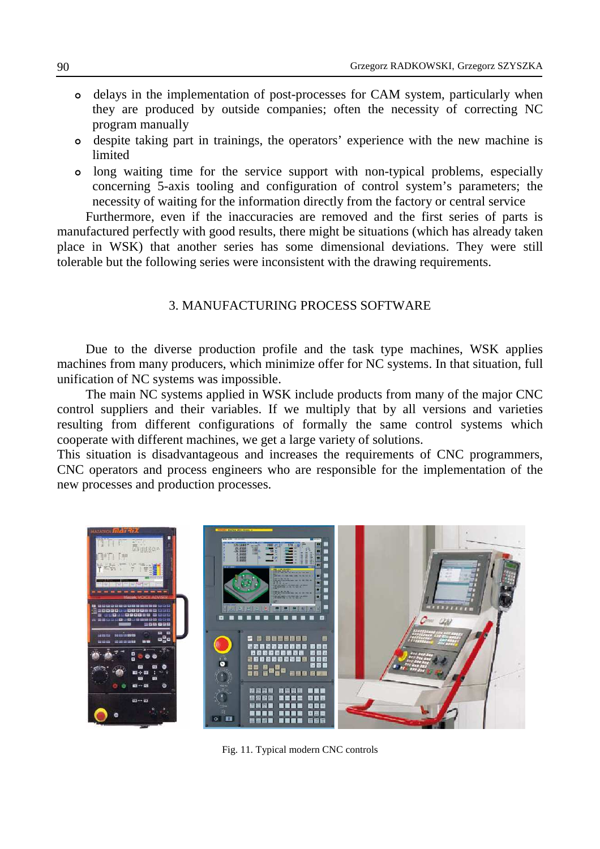- delays in the implementation of post-processes for CAM system, particularly when they are produced by outside companies; often the necessity of correcting NC program manually
- despite taking part in trainings, the operators' experience with the new machine is limited
- long waiting time for the service support with non-typical problems, especially concerning 5-axis tooling and configuration of control system's parameters; the necessity of waiting for the information directly from the factory or central service

 Furthermore, even if the inaccuracies are removed and the first series of parts is manufactured perfectly with good results, there might be situations (which has already taken place in WSK) that another series has some dimensional deviations. They were still tolerable but the following series were inconsistent with the drawing requirements.

### 3. MANUFACTURING PROCESS SOFTWARE

Due to the diverse production profile and the task type machines, WSK applies machines from many producers, which minimize offer for NC systems. In that situation, full unification of NC systems was impossible.

The main NC systems applied in WSK include products from many of the major CNC control suppliers and their variables. If we multiply that by all versions and varieties resulting from different configurations of formally the same control systems which cooperate with different machines, we get a large variety of solutions.

This situation is disadvantageous and increases the requirements of CNC programmers, CNC operators and process engineers who are responsible for the implementation of the new processes and production processes.



Fig. 11. Typical modern CNC controls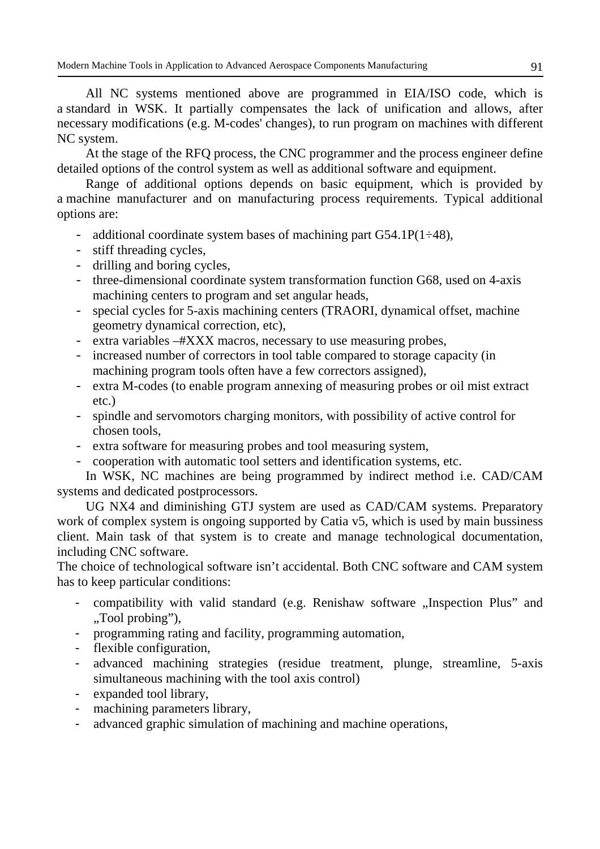All NC systems mentioned above are programmed in EIA/ISO code, which is a standard in WSK. It partially compensates the lack of unification and allows, after necessary modifications (e.g. M-codes' changes), to run program on machines with different NC system.

At the stage of the RFQ process, the CNC programmer and the process engineer define detailed options of the control system as well as additional software and equipment.

Range of additional options depends on basic equipment, which is provided by a machine manufacturer and on manufacturing process requirements. Typical additional options are:

- additional coordinate system bases of machining part  $G54.1P(1\div 48)$ ,
- stiff threading cycles,
- drilling and boring cycles,
- three-dimensional coordinate system transformation function G68, used on 4-axis machining centers to program and set angular heads,
- special cycles for 5-axis machining centers (TRAORI, dynamical offset, machine geometry dynamical correction, etc),
- extra variables –#XXX macros, necessary to use measuring probes,
- increased number of correctors in tool table compared to storage capacity (in machining program tools often have a few correctors assigned),
- extra M-codes (to enable program annexing of measuring probes or oil mist extract etc.)
- spindle and servomotors charging monitors, with possibility of active control for chosen tools,
- extra software for measuring probes and tool measuring system,
- cooperation with automatic tool setters and identification systems, etc.

In WSK, NC machines are being programmed by indirect method i.e. CAD/CAM systems and dedicated postprocessors.

UG NX4 and diminishing GTJ system are used as CAD/CAM systems. Preparatory work of complex system is ongoing supported by Catia v5, which is used by main bussiness client. Main task of that system is to create and manage technological documentation, including CNC software.

The choice of technological software isn't accidental. Both CNC software and CAM system has to keep particular conditions:

- compatibility with valid standard (e.g. Renishaw software "Inspection Plus" and "Tool probing",
- programming rating and facility, programming automation,
- flexible configuration,
- advanced machining strategies (residue treatment, plunge, streamline, 5-axis simultaneous machining with the tool axis control)
- expanded tool library,
- machining parameters library,
- advanced graphic simulation of machining and machine operations,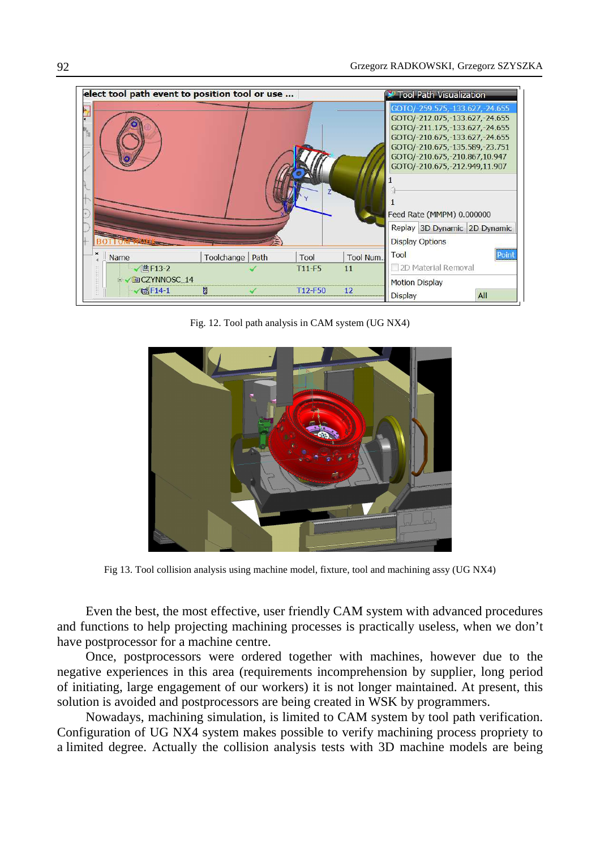

Fig. 12. Tool path analysis in CAM system (UG NX4)



Fig 13. Tool collision analysis using machine model, fixture, tool and machining assy (UG NX4)

Even the best, the most effective, user friendly CAM system with advanced procedures and functions to help projecting machining processes is practically useless, when we don't have postprocessor for a machine centre.

Once, postprocessors were ordered together with machines, however due to the negative experiences in this area (requirements incomprehension by supplier, long period of initiating, large engagement of our workers) it is not longer maintained. At present, this solution is avoided and postprocessors are being created in WSK by programmers.

Nowadays, machining simulation, is limited to CAM system by tool path verification. Configuration of UG NX4 system makes possible to verify machining process propriety to a limited degree. Actually the collision analysis tests with 3D machine models are being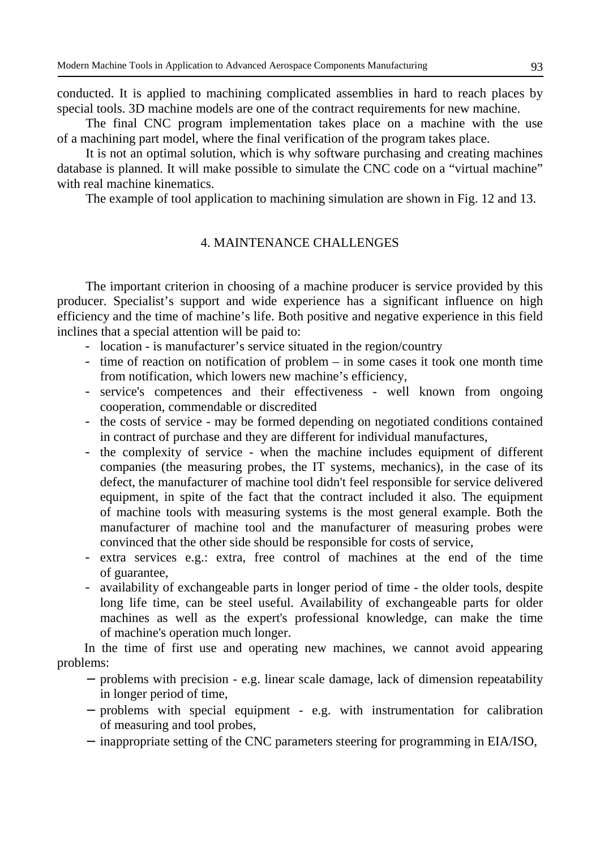conducted. It is applied to machining complicated assemblies in hard to reach places by special tools. 3D machine models are one of the contract requirements for new machine.

The final CNC program implementation takes place on a machine with the use of a machining part model, where the final verification of the program takes place.

It is not an optimal solution, which is why software purchasing and creating machines database is planned. It will make possible to simulate the CNC code on a "virtual machine" with real machine kinematics.

The example of tool application to machining simulation are shown in Fig. 12 and 13.

### 4. MAINTENANCE CHALLENGES

The important criterion in choosing of a machine producer is service provided by this producer. Specialist's support and wide experience has a significant influence on high efficiency and the time of machine's life. Both positive and negative experience in this field inclines that a special attention will be paid to:

- location is manufacturer's service situated in the region/country
- time of reaction on notification of problem in some cases it took one month time from notification, which lowers new machine's efficiency,
- service's competences and their effectiveness well known from ongoing cooperation, commendable or discredited
- the costs of service may be formed depending on negotiated conditions contained in contract of purchase and they are different for individual manufactures,
- the complexity of service when the machine includes equipment of different companies (the measuring probes, the IT systems, mechanics), in the case of its defect, the manufacturer of machine tool didn't feel responsible for service delivered equipment, in spite of the fact that the contract included it also. The equipment of machine tools with measuring systems is the most general example. Both the manufacturer of machine tool and the manufacturer of measuring probes were convinced that the other side should be responsible for costs of service,
- extra services e.g.: extra, free control of machines at the end of the time of guarantee,
- availability of exchangeable parts in longer period of time the older tools, despite long life time, can be steel useful. Availability of exchangeable parts for older machines as well as the expert's professional knowledge, can make the time of machine's operation much longer.

In the time of first use and operating new machines, we cannot avoid appearing problems:

- − problems with precision e.g. linear scale damage, lack of dimension repeatability in longer period of time,
- − problems with special equipment e.g. with instrumentation for calibration of measuring and tool probes,
- − inappropriate setting of the CNC parameters steering for programming in EIA/ISO,